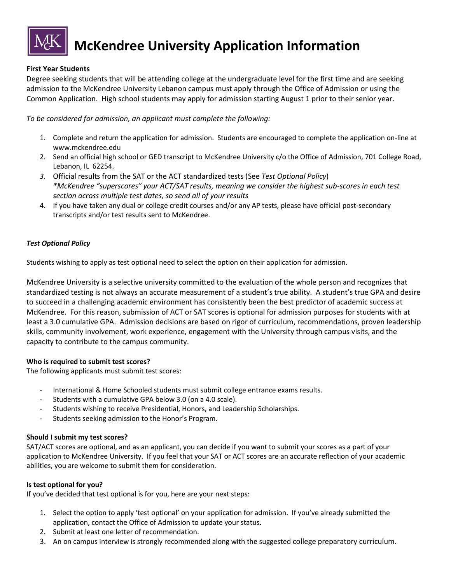

# **McKendree University Application Information**

#### **First Year Students**

Degree seeking students that will be attending college at the undergraduate level for the first time and are seeking admission to the McKendree University Lebanon campus must apply through the Office of Admission or using the Common Application. High school students may apply for admission starting August 1 prior to their senior year.

*To be considered for admission, an applicant must complete the following:*

- 1. Complete and return the application for admission. Students are encouraged to complete the application on-line at www.mckendree.edu
- 2. Send an official high school or GED transcript to McKendree University c/o the Office of Admission, 701 College Road, Lebanon, IL 62254.
- *3.* Official results from the SAT or the ACT standardized tests (See *Test Optional Policy*) *\*McKendree "superscores" your ACT/SAT results, meaning we consider the highest sub-scores in each test section across multiple test dates, so send all of your results*
- 4. If you have taken any dual or college credit courses and/or any AP tests, please have official post-secondary transcripts and/or test results sent to McKendree.

#### *Test Optional Policy*

Students wishing to apply as test optional need to select the option on their application for admission.

McKendree University is a selective university committed to the evaluation of the whole person and recognizes that standardized testing is not always an accurate measurement of a student's true ability. A student's true GPA and desire to succeed in a challenging academic environment has consistently been the best predictor of academic success at McKendree. For this reason, submission of ACT or SAT scores is optional for admission purposes for students with at least a 3.0 cumulative GPA. Admission decisions are based on rigor of curriculum, recommendations, proven leadership skills, community involvement, work experience, engagement with the University through campus visits, and the capacity to contribute to the campus community.

#### **Who is required to submit test scores?**

The following applicants must submit test scores:

- International & Home Schooled students must submit college entrance exams results.
- Students with a cumulative GPA below 3.0 (on a 4.0 scale).
- Students wishing to receive Presidential, Honors, and Leadership Scholarships.
- Students seeking admission to the Honor's Program.

#### **Should I submit my test scores?**

SAT/ACT scores are optional, and as an applicant, you can decide if you want to submit your scores as a part of your application to McKendree University. If you feel that your SAT or ACT scores are an accurate reflection of your academic abilities, you are welcome to submit them for consideration.

#### **Is test optional for you?**

If you've decided that test optional is for you, here are your next steps:

- 1. Select the option to apply 'test optional' on your application for admission. If you've already submitted the application, contact the Office of Admission to update your status.
- 2. Submit at least one letter of recommendation.
- 3. An on campus interview is strongly recommended along with the suggested college preparatory curriculum.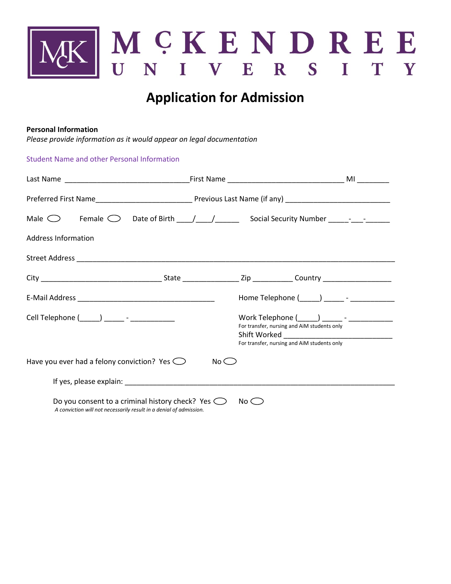

## **Application for Admission**

#### **Personal Information**

*Please provide information as it would appear on legal documentation*

#### Student Name and other Personal Information

| <b>Address Information</b> |                                                 |                                                                                                                                  |               |                                                                                            |                                              |
|----------------------------|-------------------------------------------------|----------------------------------------------------------------------------------------------------------------------------------|---------------|--------------------------------------------------------------------------------------------|----------------------------------------------|
|                            |                                                 |                                                                                                                                  |               |                                                                                            |                                              |
|                            |                                                 |                                                                                                                                  |               |                                                                                            |                                              |
|                            |                                                 |                                                                                                                                  |               |                                                                                            | Home Telephone (_____) ______ - ___________  |
|                            | Cell Telephone (______) ________ - ____________ |                                                                                                                                  |               | For transfer, nursing and AiM students only<br>For transfer, nursing and AiM students only | Work Telephone (_____) _______ - ___________ |
|                            |                                                 | Have you ever had a felony conviction? Yes $\bigcirc$                                                                            | $No \bigcirc$ |                                                                                            |                                              |
|                            |                                                 |                                                                                                                                  |               |                                                                                            |                                              |
|                            |                                                 | Do you consent to a criminal history check? Yes $\bigcirc$<br>A conviction will not necessarily result in a denial of admission. |               | $No \subset \supset$                                                                       |                                              |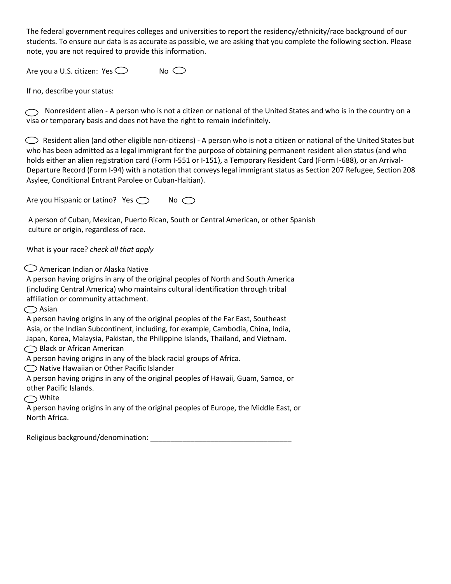The federal government requires colleges and universities to report the residency/ethnicity/race background of our students. To ensure our data is as accurate as possible, we are asking that you complete the following section. Please note, you are not required to provide this information.

Are you a U.S. citizen:  $Yes \bigcirc$  No  $\bigcirc$ 

If no, describe your status:

Nonresident alien - A person who is not a citizen or national of the United States and who is in the country on a visa or temporary basis and does not have the right to remain indefinitely.

 $\bigcirc$  Resident alien (and other eligible non-citizens) - A person who is not a citizen or national of the United States but who has been admitted as a legal immigrant for the purpose of obtaining permanent resident alien status (and who holds either an alien registration card (Form I-551 or I-151), a Temporary Resident Card (Form I-688), or an Arrival-Departure Record (Form I-94) with a notation that conveys legal immigrant status as Section 207 Refugee, Section 208 Asylee, Conditional Entrant Parolee or Cuban-Haitian).

Are you Hispanic or Latino? Yes  $\bigcirc$  No  $\bigcirc$ 

A person of Cuban, Mexican, Puerto Rican, South or Central American, or other Spanish culture or origin, regardless of race.

What is your race? *check all that apply*

 $\bigcirc$  American Indian or Alaska Native

A person having origins in any of the original peoples of North and South America (including Central America) who maintains cultural identification through tribal affiliation or community attachment.

 $\bigcirc$  Asian

A person having origins in any of the original peoples of the Far East, Southeast Asia, or the Indian Subcontinent, including, for example, Cambodia, China, India, Japan, Korea, Malaysia, Pakistan, the Philippine Islands, Thailand, and Vietnam.

◯ Black or African American

A person having origins in any of the black racial groups of Africa.

◯ Native Hawaiian or Other Pacific Islander

A person having origins in any of the original peoples of Hawaii, Guam, Samoa, or other Pacific Islands.

◯ White

A person having origins in any of the original peoples of Europe, the Middle East, or North Africa.

Religious background/denomination: \_\_\_\_\_\_\_\_\_\_\_\_\_\_\_\_\_\_\_\_\_\_\_\_\_\_\_\_\_\_\_\_\_\_\_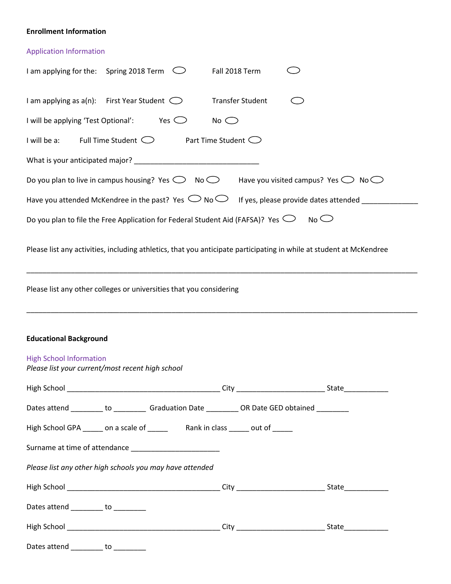#### **Enrollment Information**

| <b>Application Information</b>                                                                                      |                                                       |  |
|---------------------------------------------------------------------------------------------------------------------|-------------------------------------------------------|--|
| I am applying for the: Spring 2018 Term                                                                             | Fall 2018 Term                                        |  |
| I am applying as $a(n)$ : First Year Student $\bigcirc$                                                             | <b>Transfer Student</b>                               |  |
| $Y$ es $\bigcirc$<br>I will be applying 'Test Optional':                                                            | No $\bigcirc$                                         |  |
| Full Time Student $\bigcirc$<br><b>Part Time Student <math>\bigcirc</math></b><br>I will be a:                      |                                                       |  |
|                                                                                                                     |                                                       |  |
| Do you plan to live in campus housing? Yes $\circlearrowright$ No $\circlearrowright$                               | Have you visited campus? Yes $\bigcirc$ No $\bigcirc$ |  |
| Have you attended McKendree in the past? Yes $\bigcirc$ No $\bigcirc$                                               | If yes, please provide dates attended ___________     |  |
| Do you plan to file the Free Application for Federal Student Aid (FAFSA)? Yes $\circlearrowright$                   | $N_0 \bigcirc$                                        |  |
| Please list any activities, including athletics, that you anticipate participating in while at student at McKendree |                                                       |  |
| Please list any other colleges or universities that you considering                                                 |                                                       |  |
| <b>Educational Background</b>                                                                                       |                                                       |  |
| <b>High School Information</b><br>Please list your current/most recent high school                                  |                                                       |  |
|                                                                                                                     |                                                       |  |
| Dates attend _________ to ___________Graduation Date ___________OR Date GED obtained __________                     |                                                       |  |
| High School GPA ______ on a scale of _______ Rank in class _____ out of _____                                       |                                                       |  |
|                                                                                                                     |                                                       |  |
| Please list any other high schools you may have attended                                                            |                                                       |  |
|                                                                                                                     |                                                       |  |
| Dates attend _________ to ________                                                                                  |                                                       |  |
|                                                                                                                     |                                                       |  |
| Dates attend __________ to __________                                                                               |                                                       |  |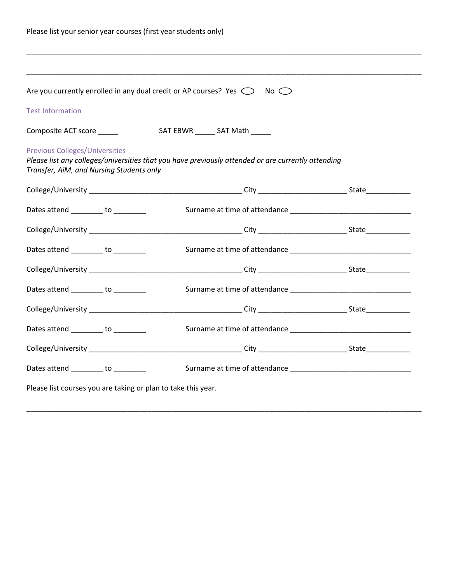| Please list your senior year courses (first year students only) |  |  |  |
|-----------------------------------------------------------------|--|--|--|
|-----------------------------------------------------------------|--|--|--|

| Are you currently enrolled in any dual credit or AP courses? Yes $\circlearrowright$ No $\circlearrowright$                                                                             |                           |  |
|-----------------------------------------------------------------------------------------------------------------------------------------------------------------------------------------|---------------------------|--|
| <b>Test Information</b>                                                                                                                                                                 |                           |  |
| Composite ACT score                                                                                                                                                                     | SAT EBWR _______ SAT Math |  |
| <b>Previous Colleges/Universities</b><br>Please list any colleges/universities that you have previously attended or are currently attending<br>Transfer, AiM, and Nursing Students only |                           |  |
|                                                                                                                                                                                         |                           |  |
| Dates attend ________ to _______                                                                                                                                                        |                           |  |
|                                                                                                                                                                                         |                           |  |
| Dates attend ________ to _______                                                                                                                                                        |                           |  |
|                                                                                                                                                                                         |                           |  |
| Dates attend _________ to ________                                                                                                                                                      |                           |  |
|                                                                                                                                                                                         |                           |  |
| Dates attend _________ to ________                                                                                                                                                      |                           |  |
|                                                                                                                                                                                         |                           |  |
| Dates attend _________ to ________                                                                                                                                                      |                           |  |
| Please list courses you are taking or plan to take this year.                                                                                                                           |                           |  |

\_\_\_\_\_\_\_\_\_\_\_\_\_\_\_\_\_\_\_\_\_\_\_\_\_\_\_\_\_\_\_\_\_\_\_\_\_\_\_\_\_\_\_\_\_\_\_\_\_\_\_\_\_\_\_\_\_\_\_\_\_\_\_\_\_\_\_\_\_\_\_\_\_\_\_\_\_\_\_\_\_\_\_\_\_\_\_\_\_\_\_\_\_\_\_\_\_\_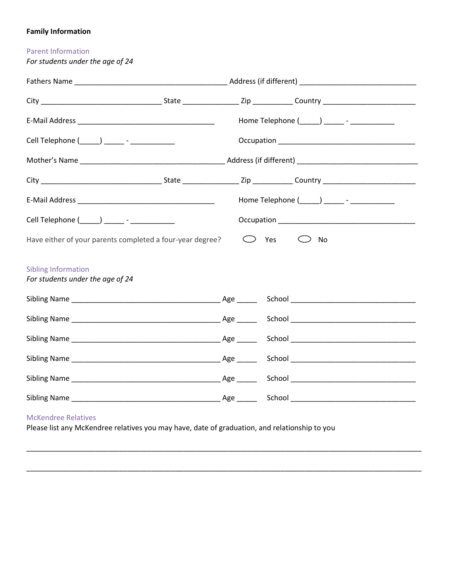### **Family Information**

#### Parent Information

*For students under the age of 24*

|                                                                                                                |  | Home Telephone (_____) ______ - ____________ |
|----------------------------------------------------------------------------------------------------------------|--|----------------------------------------------|
| Cell Telephone (_____) _______ - _____________                                                                 |  |                                              |
|                                                                                                                |  |                                              |
|                                                                                                                |  |                                              |
|                                                                                                                |  | Home Telephone (_____) ______ - ____________ |
| Cell Telephone (_____) ______ - ____________                                                                   |  |                                              |
| Have either of your parents completed a four-year degree? $\bigcirc$ Yes $\bigcirc$                            |  | No                                           |
| <b>Sibling Information</b><br>For students under the age of 24                                                 |  |                                              |
|                                                                                                                |  |                                              |
|                                                                                                                |  |                                              |
|                                                                                                                |  |                                              |
|                                                                                                                |  |                                              |
|                                                                                                                |  |                                              |
|                                                                                                                |  |                                              |
| 100 - San Antonio Alemania - Antonio Alemania - Antonio Alemania - Antonio Alemania - Antonio Alemania - Anton |  |                                              |

\_\_\_\_\_\_\_\_\_\_\_\_\_\_\_\_\_\_\_\_\_\_\_\_\_\_\_\_\_\_\_\_\_\_\_\_\_\_\_\_\_\_\_\_\_\_\_\_\_\_\_\_\_\_\_\_\_\_\_\_\_\_\_\_\_\_\_\_\_\_\_\_\_\_\_\_\_\_\_\_\_\_\_\_\_\_\_\_\_\_\_\_\_\_\_\_\_\_

\_\_\_\_\_\_\_\_\_\_\_\_\_\_\_\_\_\_\_\_\_\_\_\_\_\_\_\_\_\_\_\_\_\_\_\_\_\_\_\_\_\_\_\_\_\_\_\_\_\_\_\_\_\_\_\_\_\_\_\_\_\_\_\_\_\_\_\_\_\_\_\_\_\_\_\_\_\_\_\_\_\_\_\_\_\_\_\_\_\_\_\_\_\_\_\_\_\_

#### McKendree Relatives

Please list any McKendree relatives you may have, date of graduation, and relationship to you